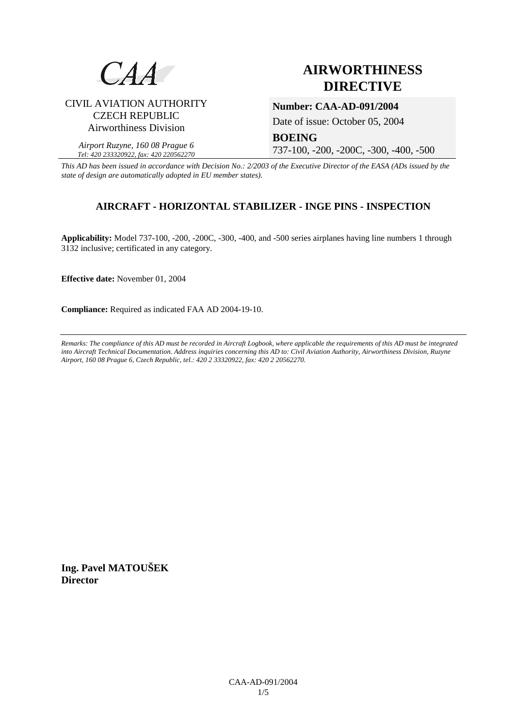

# **AIRWORTHINESS DIRECTIVE**

## CIVIL AVIATION AUTHORITY CZECH REPUBLIC Airworthiness Division

### **Number: CAA-AD-091/2004**

Date of issue: October 05, 2004

*Airport Ruzyne, 160 08 Prague 6 Tel: 420 233320922, fax: 420 220562270*

**BOEING**  737-100, -200, -200C, -300, -400, -500

*This AD has been issued in accordance with Decision No.: 2/2003 of the Executive Director of the EASA (ADs issued by the state of design are automatically adopted in EU member states).*

# **AIRCRAFT - HORIZONTAL STABILIZER - INGE PINS - INSPECTION**

**Applicability:** Model 737-100, -200, -200C, -300, -400, and -500 series airplanes having line numbers 1 through 3132 inclusive; certificated in any category.

**Effective date:** November 01, 2004

**Compliance:** Required as indicated FAA AD 2004-19-10.

*Remarks: The compliance of this AD must be recorded in Aircraft Logbook, where applicable the requirements of this AD must be integrated into Aircraft Technical Documentation. Address inquiries concerning this AD to: Civil Aviation Authority, Airworthiness Division, Ruzyne Airport, 160 08 Prague 6, Czech Republic, tel.: 420 2 33320922, fax: 420 2 20562270.* 

**Ing. Pavel MATOUŠEK Director**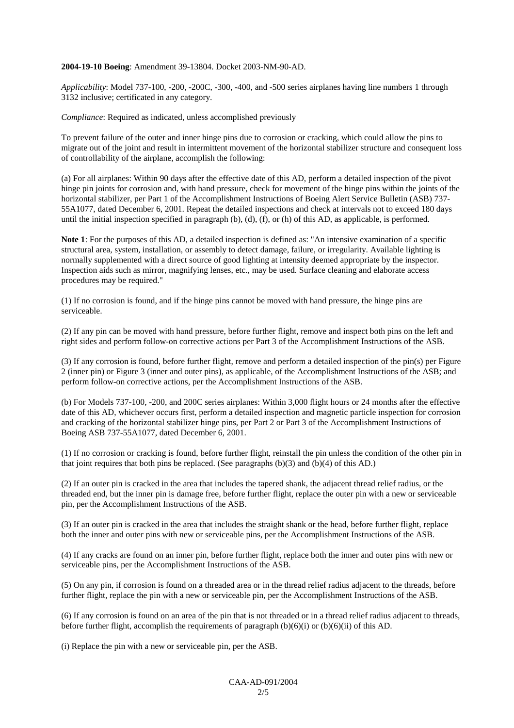#### **2004-19-10 Boeing**: Amendment 39-13804. Docket 2003-NM-90-AD.

*Applicability*: Model 737-100, -200, -200C, -300, -400, and -500 series airplanes having line numbers 1 through 3132 inclusive; certificated in any category.

*Compliance*: Required as indicated, unless accomplished previously

To prevent failure of the outer and inner hinge pins due to corrosion or cracking, which could allow the pins to migrate out of the joint and result in intermittent movement of the horizontal stabilizer structure and consequent loss of controllability of the airplane, accomplish the following:

(a) For all airplanes: Within 90 days after the effective date of this AD, perform a detailed inspection of the pivot hinge pin joints for corrosion and, with hand pressure, check for movement of the hinge pins within the joints of the horizontal stabilizer, per Part 1 of the Accomplishment Instructions of Boeing Alert Service Bulletin (ASB) 737-55A1077, dated December 6, 2001. Repeat the detailed inspections and check at intervals not to exceed 180 days until the initial inspection specified in paragraph  $(b)$ ,  $(d)$ ,  $(f)$ , or  $(h)$  of this AD, as applicable, is performed.

**Note 1**: For the purposes of this AD, a detailed inspection is defined as: "An intensive examination of a specific structural area, system, installation, or assembly to detect damage, failure, or irregularity. Available lighting is normally supplemented with a direct source of good lighting at intensity deemed appropriate by the inspector. Inspection aids such as mirror, magnifying lenses, etc., may be used. Surface cleaning and elaborate access procedures may be required."

(1) If no corrosion is found, and if the hinge pins cannot be moved with hand pressure, the hinge pins are serviceable.

(2) If any pin can be moved with hand pressure, before further flight, remove and inspect both pins on the left and right sides and perform follow-on corrective actions per Part 3 of the Accomplishment Instructions of the ASB.

(3) If any corrosion is found, before further flight, remove and perform a detailed inspection of the pin(s) per Figure 2 (inner pin) or Figure 3 (inner and outer pins), as applicable, of the Accomplishment Instructions of the ASB; and perform follow-on corrective actions, per the Accomplishment Instructions of the ASB.

(b) For Models 737-100, -200, and 200C series airplanes: Within 3,000 flight hours or 24 months after the effective date of this AD, whichever occurs first, perform a detailed inspection and magnetic particle inspection for corrosion and cracking of the horizontal stabilizer hinge pins, per Part 2 or Part 3 of the Accomplishment Instructions of Boeing ASB 737-55A1077, dated December 6, 2001.

(1) If no corrosion or cracking is found, before further flight, reinstall the pin unless the condition of the other pin in that joint requires that both pins be replaced. (See paragraphs (b)(3) and (b)(4) of this AD.)

(2) If an outer pin is cracked in the area that includes the tapered shank, the adjacent thread relief radius, or the threaded end, but the inner pin is damage free, before further flight, replace the outer pin with a new or serviceable pin, per the Accomplishment Instructions of the ASB.

(3) If an outer pin is cracked in the area that includes the straight shank or the head, before further flight, replace both the inner and outer pins with new or serviceable pins, per the Accomplishment Instructions of the ASB.

(4) If any cracks are found on an inner pin, before further flight, replace both the inner and outer pins with new or serviceable pins, per the Accomplishment Instructions of the ASB.

(5) On any pin, if corrosion is found on a threaded area or in the thread relief radius adjacent to the threads, before further flight, replace the pin with a new or serviceable pin, per the Accomplishment Instructions of the ASB.

(6) If any corrosion is found on an area of the pin that is not threaded or in a thread relief radius adjacent to threads, before further flight, accomplish the requirements of paragraph  $(b)(6)(i)$  or  $(b)(6)(ii)$  of this AD.

(i) Replace the pin with a new or serviceable pin, per the ASB.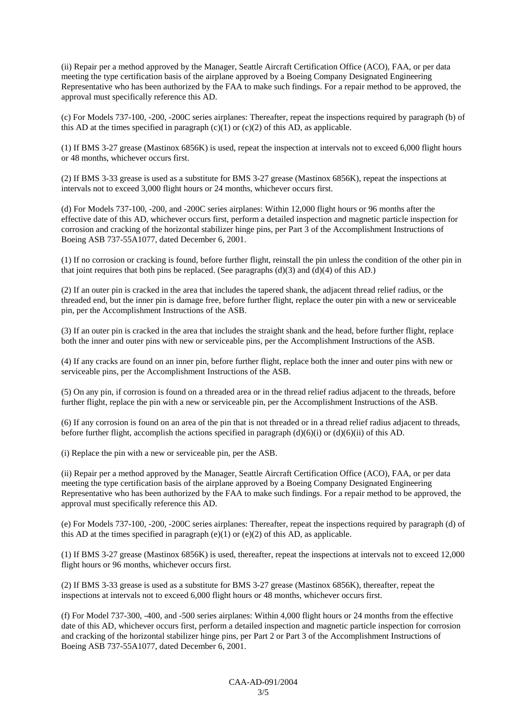(ii) Repair per a method approved by the Manager, Seattle Aircraft Certification Office (ACO), FAA, or per data meeting the type certification basis of the airplane approved by a Boeing Company Designated Engineering Representative who has been authorized by the FAA to make such findings. For a repair method to be approved, the approval must specifically reference this AD.

(c) For Models 737-100, -200, -200C series airplanes: Thereafter, repeat the inspections required by paragraph (b) of this AD at the times specified in paragraph  $(c)(1)$  or  $(c)(2)$  of this AD, as applicable.

(1) If BMS 3-27 grease (Mastinox 6856K) is used, repeat the inspection at intervals not to exceed 6,000 flight hours or 48 months, whichever occurs first.

(2) If BMS 3-33 grease is used as a substitute for BMS 3-27 grease (Mastinox 6856K), repeat the inspections at intervals not to exceed 3,000 flight hours or 24 months, whichever occurs first.

(d) For Models 737-100, -200, and -200C series airplanes: Within 12,000 flight hours or 96 months after the effective date of this AD, whichever occurs first, perform a detailed inspection and magnetic particle inspection for corrosion and cracking of the horizontal stabilizer hinge pins, per Part 3 of the Accomplishment Instructions of Boeing ASB 737-55A1077, dated December 6, 2001.

(1) If no corrosion or cracking is found, before further flight, reinstall the pin unless the condition of the other pin in that joint requires that both pins be replaced. (See paragraphs  $(d)(3)$  and  $(d)(4)$  of this AD.)

(2) If an outer pin is cracked in the area that includes the tapered shank, the adjacent thread relief radius, or the threaded end, but the inner pin is damage free, before further flight, replace the outer pin with a new or serviceable pin, per the Accomplishment Instructions of the ASB.

(3) If an outer pin is cracked in the area that includes the straight shank and the head, before further flight, replace both the inner and outer pins with new or serviceable pins, per the Accomplishment Instructions of the ASB.

(4) If any cracks are found on an inner pin, before further flight, replace both the inner and outer pins with new or serviceable pins, per the Accomplishment Instructions of the ASB.

(5) On any pin, if corrosion is found on a threaded area or in the thread relief radius adjacent to the threads, before further flight, replace the pin with a new or serviceable pin, per the Accomplishment Instructions of the ASB.

(6) If any corrosion is found on an area of the pin that is not threaded or in a thread relief radius adjacent to threads, before further flight, accomplish the actions specified in paragraph  $(d)(6)(i)$  or  $(d)(6)(ii)$  of this AD.

(i) Replace the pin with a new or serviceable pin, per the ASB.

(ii) Repair per a method approved by the Manager, Seattle Aircraft Certification Office (ACO), FAA, or per data meeting the type certification basis of the airplane approved by a Boeing Company Designated Engineering Representative who has been authorized by the FAA to make such findings. For a repair method to be approved, the approval must specifically reference this AD.

(e) For Models 737-100, -200, -200C series airplanes: Thereafter, repeat the inspections required by paragraph (d) of this AD at the times specified in paragraph  $(e)(1)$  or  $(e)(2)$  of this AD, as applicable.

(1) If BMS 3-27 grease (Mastinox 6856K) is used, thereafter, repeat the inspections at intervals not to exceed 12,000 flight hours or 96 months, whichever occurs first.

(2) If BMS 3-33 grease is used as a substitute for BMS 3-27 grease (Mastinox 6856K), thereafter, repeat the inspections at intervals not to exceed 6,000 flight hours or 48 months, whichever occurs first.

(f) For Model 737-300, -400, and -500 series airplanes: Within 4,000 flight hours or 24 months from the effective date of this AD, whichever occurs first, perform a detailed inspection and magnetic particle inspection for corrosion and cracking of the horizontal stabilizer hinge pins, per Part 2 or Part 3 of the Accomplishment Instructions of Boeing ASB 737-55A1077, dated December 6, 2001.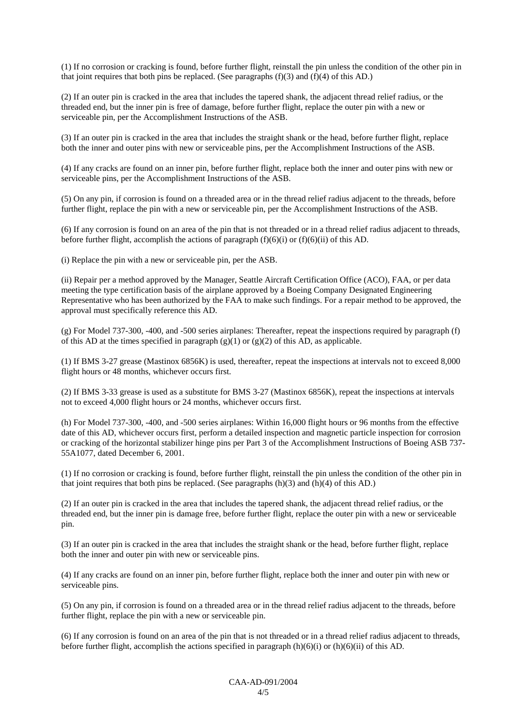(1) If no corrosion or cracking is found, before further flight, reinstall the pin unless the condition of the other pin in that joint requires that both pins be replaced. (See paragraphs  $(f)(3)$  and  $(f)(4)$  of this AD.)

(2) If an outer pin is cracked in the area that includes the tapered shank, the adjacent thread relief radius, or the threaded end, but the inner pin is free of damage, before further flight, replace the outer pin with a new or serviceable pin, per the Accomplishment Instructions of the ASB.

(3) If an outer pin is cracked in the area that includes the straight shank or the head, before further flight, replace both the inner and outer pins with new or serviceable pins, per the Accomplishment Instructions of the ASB.

(4) If any cracks are found on an inner pin, before further flight, replace both the inner and outer pins with new or serviceable pins, per the Accomplishment Instructions of the ASB.

(5) On any pin, if corrosion is found on a threaded area or in the thread relief radius adjacent to the threads, before further flight, replace the pin with a new or serviceable pin, per the Accomplishment Instructions of the ASB.

(6) If any corrosion is found on an area of the pin that is not threaded or in a thread relief radius adjacent to threads, before further flight, accomplish the actions of paragraph  $(f)(6)(i)$  or  $(f)(6)(ii)$  of this AD.

(i) Replace the pin with a new or serviceable pin, per the ASB.

(ii) Repair per a method approved by the Manager, Seattle Aircraft Certification Office (ACO), FAA, or per data meeting the type certification basis of the airplane approved by a Boeing Company Designated Engineering Representative who has been authorized by the FAA to make such findings. For a repair method to be approved, the approval must specifically reference this AD.

(g) For Model 737-300, -400, and -500 series airplanes: Thereafter, repeat the inspections required by paragraph (f) of this AD at the times specified in paragraph  $(g)(1)$  or  $(g)(2)$  of this AD, as applicable.

(1) If BMS 3-27 grease (Mastinox 6856K) is used, thereafter, repeat the inspections at intervals not to exceed 8,000 flight hours or 48 months, whichever occurs first.

(2) If BMS 3-33 grease is used as a substitute for BMS 3-27 (Mastinox 6856K), repeat the inspections at intervals not to exceed 4,000 flight hours or 24 months, whichever occurs first.

(h) For Model 737-300, -400, and -500 series airplanes: Within 16,000 flight hours or 96 months from the effective date of this AD, whichever occurs first, perform a detailed inspection and magnetic particle inspection for corrosion or cracking of the horizontal stabilizer hinge pins per Part 3 of the Accomplishment Instructions of Boeing ASB 737- 55A1077, dated December 6, 2001.

(1) If no corrosion or cracking is found, before further flight, reinstall the pin unless the condition of the other pin in that joint requires that both pins be replaced. (See paragraphs  $(h)(3)$  and  $(h)(4)$  of this AD.)

(2) If an outer pin is cracked in the area that includes the tapered shank, the adjacent thread relief radius, or the threaded end, but the inner pin is damage free, before further flight, replace the outer pin with a new or serviceable pin.

(3) If an outer pin is cracked in the area that includes the straight shank or the head, before further flight, replace both the inner and outer pin with new or serviceable pins.

(4) If any cracks are found on an inner pin, before further flight, replace both the inner and outer pin with new or serviceable pins.

(5) On any pin, if corrosion is found on a threaded area or in the thread relief radius adjacent to the threads, before further flight, replace the pin with a new or serviceable pin.

(6) If any corrosion is found on an area of the pin that is not threaded or in a thread relief radius adjacent to threads, before further flight, accomplish the actions specified in paragraph  $(h)(6)(i)$  or  $(h)(6)(ii)$  of this AD.